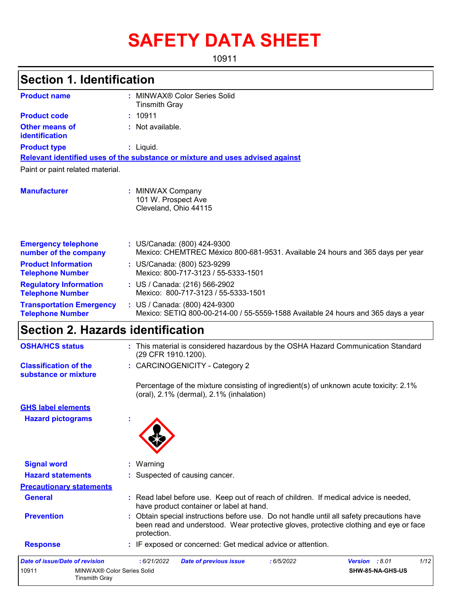# **SAFETY DATA SHEET**

10911

# **Section 1. Identification**

| <b>Product name</b>                                        | MINWAX® Color Series Solid<br><b>Tinsmith Gray</b>                                                                 |
|------------------------------------------------------------|--------------------------------------------------------------------------------------------------------------------|
| <b>Product code</b>                                        | : 10911                                                                                                            |
| Other means of<br>identification                           | : Not available.                                                                                                   |
| <b>Product type</b>                                        | $:$ Liquid.                                                                                                        |
|                                                            | Relevant identified uses of the substance or mixture and uses advised against                                      |
| Paint or paint related material.                           |                                                                                                                    |
| <b>Manufacturer</b>                                        | : MINWAX Company<br>101 W. Prospect Ave<br>Cleveland, Ohio 44115                                                   |
| <b>Emergency telephone</b><br>number of the company        | : US/Canada: (800) 424-9300<br>Mexico: CHEMTREC México 800-681-9531. Available 24 hours and 365 days per year      |
| <b>Product Information</b><br><b>Telephone Number</b>      | : US/Canada: (800) 523-9299<br>Mexico: 800-717-3123 / 55-5333-1501                                                 |
| <b>Regulatory Information</b><br><b>Telephone Number</b>   | : US / Canada: (216) 566-2902<br>Mexico: 800-717-3123 / 55-5333-1501                                               |
| <b>Transportation Emergency</b><br><b>Telephone Number</b> | : US / Canada: (800) 424-9300<br>Mexico: SETIQ 800-00-214-00 / 55-5559-1588 Available 24 hours and 365 days a year |

# **Section 2. Hazards identification**

Tinsmith Gray

| <b>OSHA/HCS status</b>                               | : This material is considered hazardous by the OSHA Hazard Communication Standard<br>(29 CFR 1910.1200).                                                                                          |
|------------------------------------------------------|---------------------------------------------------------------------------------------------------------------------------------------------------------------------------------------------------|
| <b>Classification of the</b><br>substance or mixture | : CARCINOGENICITY - Category 2                                                                                                                                                                    |
|                                                      | Percentage of the mixture consisting of ingredient(s) of unknown acute toxicity: 2.1%<br>(oral), 2.1% (dermal), 2.1% (inhalation)                                                                 |
| <b>GHS label elements</b>                            |                                                                                                                                                                                                   |
| <b>Hazard pictograms</b>                             |                                                                                                                                                                                                   |
| <b>Signal word</b><br><b>Hazard statements</b>       | : Warning<br>: Suspected of causing cancer.                                                                                                                                                       |
|                                                      |                                                                                                                                                                                                   |
| <b>Precautionary statements</b>                      |                                                                                                                                                                                                   |
| <b>General</b>                                       | : Read label before use. Keep out of reach of children. If medical advice is needed,<br>have product container or label at hand.                                                                  |
| <b>Prevention</b>                                    | : Obtain special instructions before use. Do not handle until all safety precautions have<br>been read and understood. Wear protective gloves, protective clothing and eye or face<br>protection. |
| <b>Response</b>                                      | : IF exposed or concerned: Get medical advice or attention.                                                                                                                                       |
| <b>Date of issue/Date of revision</b>                | 1/12<br>: 6/21/2022<br>Version : 8.01<br><b>Date of previous issue</b><br>:6/5/2022                                                                                                               |
| MINWAX® Color Series Solid<br>10911                  | SHW-85-NA-GHS-US                                                                                                                                                                                  |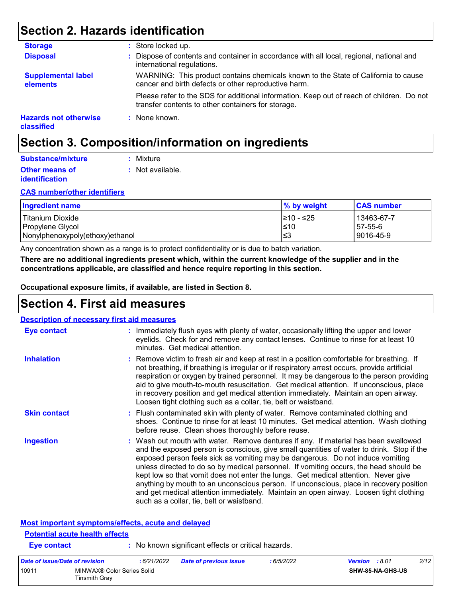# **Section 2. Hazards identification**

| <b>Storage</b>                             | : Store locked up.                                                                                                                              |
|--------------------------------------------|-------------------------------------------------------------------------------------------------------------------------------------------------|
| <b>Disposal</b>                            | : Dispose of contents and container in accordance with all local, regional, national and<br>international regulations.                          |
| <b>Supplemental label</b><br>elements      | WARNING: This product contains chemicals known to the State of California to cause<br>cancer and birth defects or other reproductive harm.      |
|                                            | Please refer to the SDS for additional information. Keep out of reach of children. Do not<br>transfer contents to other containers for storage. |
| <b>Hazards not otherwise</b><br>classified | : None known.                                                                                                                                   |

# **Section 3. Composition/information on ingredients**

| Substance/mixture     | : Mixture        |
|-----------------------|------------------|
| <b>Other means of</b> | : Not available. |
| identification        |                  |

#### **CAS number/other identifiers**

| <b>Ingredient name</b>               | % by weight         | <b>CAS number</b>     |
|--------------------------------------|---------------------|-----------------------|
| Titanium Dioxide<br>Propylene Glycol | 1≥10 - ≤25<br>$≤10$ | 13463-67-7<br>57-55-6 |
| Nonylphenoxypoly(ethoxy)ethanol      | l≤3                 | 9016-45-9             |

Any concentration shown as a range is to protect confidentiality or is due to batch variation.

**There are no additional ingredients present which, within the current knowledge of the supplier and in the concentrations applicable, are classified and hence require reporting in this section.**

**Occupational exposure limits, if available, are listed in Section 8.**

### **Section 4. First aid measures**

| <b>Description of necessary first aid measures</b> |                                                                                                                                                                                                                                                                                                                                                                                                                                                                                                                                                                                                                                                                                   |
|----------------------------------------------------|-----------------------------------------------------------------------------------------------------------------------------------------------------------------------------------------------------------------------------------------------------------------------------------------------------------------------------------------------------------------------------------------------------------------------------------------------------------------------------------------------------------------------------------------------------------------------------------------------------------------------------------------------------------------------------------|
| <b>Eye contact</b>                                 | : Immediately flush eyes with plenty of water, occasionally lifting the upper and lower<br>eyelids. Check for and remove any contact lenses. Continue to rinse for at least 10<br>minutes. Get medical attention.                                                                                                                                                                                                                                                                                                                                                                                                                                                                 |
| <b>Inhalation</b>                                  | : Remove victim to fresh air and keep at rest in a position comfortable for breathing. If<br>not breathing, if breathing is irregular or if respiratory arrest occurs, provide artificial<br>respiration or oxygen by trained personnel. It may be dangerous to the person providing<br>aid to give mouth-to-mouth resuscitation. Get medical attention. If unconscious, place<br>in recovery position and get medical attention immediately. Maintain an open airway.<br>Loosen tight clothing such as a collar, tie, belt or waistband.                                                                                                                                         |
| <b>Skin contact</b>                                | : Flush contaminated skin with plenty of water. Remove contaminated clothing and<br>shoes. Continue to rinse for at least 10 minutes. Get medical attention. Wash clothing<br>before reuse. Clean shoes thoroughly before reuse.                                                                                                                                                                                                                                                                                                                                                                                                                                                  |
| <b>Ingestion</b>                                   | : Wash out mouth with water. Remove dentures if any. If material has been swallowed<br>and the exposed person is conscious, give small quantities of water to drink. Stop if the<br>exposed person feels sick as vomiting may be dangerous. Do not induce vomiting<br>unless directed to do so by medical personnel. If vomiting occurs, the head should be<br>kept low so that vomit does not enter the lungs. Get medical attention. Never give<br>anything by mouth to an unconscious person. If unconscious, place in recovery position<br>and get medical attention immediately. Maintain an open airway. Loosen tight clothing<br>such as a collar, tie, belt or waistband. |

### **Most important symptoms/effects, acute and delayed**

Tinsmith Gray

#### **Eye contact :** No known significant effects or critical hazards. **Potential acute health effects** *Date of issue/Date of revision* **:** *6/21/2022 Date of previous issue : 6/5/2022 Version : 8.01 2/12* 10911 MINWAX® Color Series Solid **SHW-85-NA-GHS-US**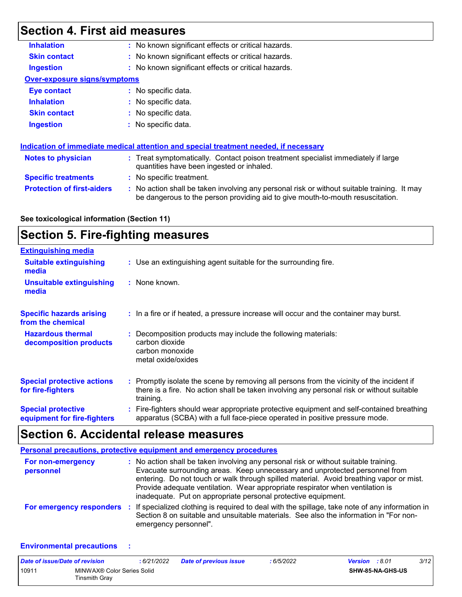# **Section 4. First aid measures**

| <b>Inhalation</b>                   | : No known significant effects or critical hazards.                                                                                                                           |
|-------------------------------------|-------------------------------------------------------------------------------------------------------------------------------------------------------------------------------|
| <b>Skin contact</b>                 | : No known significant effects or critical hazards.                                                                                                                           |
| <b>Ingestion</b>                    | : No known significant effects or critical hazards.                                                                                                                           |
| <b>Over-exposure signs/symptoms</b> |                                                                                                                                                                               |
| <b>Eye contact</b>                  | : No specific data.                                                                                                                                                           |
| <b>Inhalation</b>                   | : No specific data.                                                                                                                                                           |
| <b>Skin contact</b>                 | : No specific data.                                                                                                                                                           |
| <b>Ingestion</b>                    | $\therefore$ No specific data.                                                                                                                                                |
|                                     |                                                                                                                                                                               |
|                                     | Indication of immediate medical attention and special treatment needed, if necessary                                                                                          |
| <b>Notes to physician</b>           | : Treat symptomatically. Contact poison treatment specialist immediately if large<br>quantities have been ingested or inhaled.                                                |
| <b>Specific treatments</b>          | : No specific treatment.                                                                                                                                                      |
| <b>Protection of first-aiders</b>   | : No action shall be taken involving any personal risk or without suitable training. It may<br>be dangerous to the person providing aid to give mouth-to-mouth resuscitation. |
|                                     |                                                                                                                                                                               |

### **See toxicological information (Section 11)**

# **Section 5. Fire-fighting measures**

| <b>Extinguishing media</b>                               |                                                                                                                                                                                                     |
|----------------------------------------------------------|-----------------------------------------------------------------------------------------------------------------------------------------------------------------------------------------------------|
| <b>Suitable extinguishing</b><br>media                   | : Use an extinguishing agent suitable for the surrounding fire.                                                                                                                                     |
| <b>Unsuitable extinguishing</b><br>media                 | : None known.                                                                                                                                                                                       |
| <b>Specific hazards arising</b><br>from the chemical     | : In a fire or if heated, a pressure increase will occur and the container may burst.                                                                                                               |
| <b>Hazardous thermal</b><br>decomposition products       | Decomposition products may include the following materials:<br>carbon dioxide<br>carbon monoxide<br>metal oxide/oxides                                                                              |
| <b>Special protective actions</b><br>for fire-fighters   | : Promptly isolate the scene by removing all persons from the vicinity of the incident if<br>there is a fire. No action shall be taken involving any personal risk or without suitable<br>training. |
| <b>Special protective</b><br>equipment for fire-fighters | : Fire-fighters should wear appropriate protective equipment and self-contained breathing<br>apparatus (SCBA) with a full face-piece operated in positive pressure mode.                            |

# **Section 6. Accidental release measures**

|                                 | Personal precautions, protective equipment and emergency procedures                                                                                                                                                                                                                                                                                                                                              |
|---------------------------------|------------------------------------------------------------------------------------------------------------------------------------------------------------------------------------------------------------------------------------------------------------------------------------------------------------------------------------------------------------------------------------------------------------------|
| For non-emergency<br>personnel  | : No action shall be taken involving any personal risk or without suitable training.<br>Evacuate surrounding areas. Keep unnecessary and unprotected personnel from<br>entering. Do not touch or walk through spilled material. Avoid breathing vapor or mist.<br>Provide adequate ventilation. Wear appropriate respirator when ventilation is<br>inadequate. Put on appropriate personal protective equipment. |
| <b>For emergency responders</b> | : If specialized clothing is required to deal with the spillage, take note of any information in<br>Section 8 on suitable and unsuitable materials. See also the information in "For non-<br>emergency personnel".                                                                                                                                                                                               |

#### **Environmental precautions :**

| Date of issue/Date of revision |                                             | : 6/21/2022 | <b>Date of previous issue</b> | : 6/5/2022 | <b>Version</b> : 8.01 |                         | 3/12 |
|--------------------------------|---------------------------------------------|-------------|-------------------------------|------------|-----------------------|-------------------------|------|
| 10911                          | MINWAX® Color Series Solid<br>Tinsmith Gray |             |                               |            |                       | <b>SHW-85-NA-GHS-US</b> |      |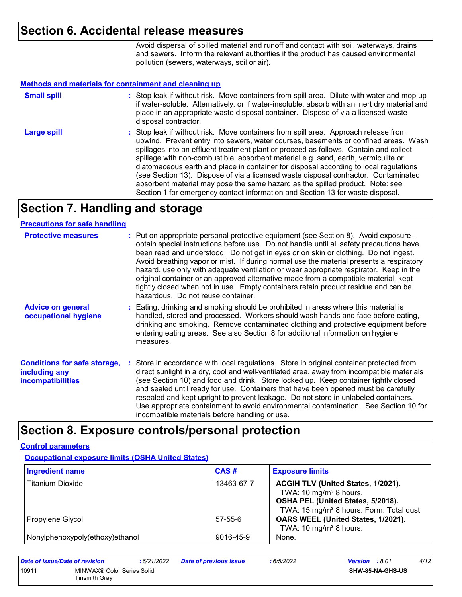### **Section 6. Accidental release measures**

Avoid dispersal of spilled material and runoff and contact with soil, waterways, drains and sewers. Inform the relevant authorities if the product has caused environmental pollution (sewers, waterways, soil or air).

#### **Methods and materials for containment and cleaning up**

| <b>Small spill</b> | : Stop leak if without risk. Move containers from spill area. Dilute with water and mop up<br>if water-soluble. Alternatively, or if water-insoluble, absorb with an inert dry material and<br>place in an appropriate waste disposal container. Dispose of via a licensed waste<br>disposal contractor.                                                                                                                                                                                                                                                                                                                                                                                                     |
|--------------------|--------------------------------------------------------------------------------------------------------------------------------------------------------------------------------------------------------------------------------------------------------------------------------------------------------------------------------------------------------------------------------------------------------------------------------------------------------------------------------------------------------------------------------------------------------------------------------------------------------------------------------------------------------------------------------------------------------------|
| <b>Large spill</b> | : Stop leak if without risk. Move containers from spill area. Approach release from<br>upwind. Prevent entry into sewers, water courses, basements or confined areas. Wash<br>spillages into an effluent treatment plant or proceed as follows. Contain and collect<br>spillage with non-combustible, absorbent material e.g. sand, earth, vermiculite or<br>diatomaceous earth and place in container for disposal according to local regulations<br>(see Section 13). Dispose of via a licensed waste disposal contractor. Contaminated<br>absorbent material may pose the same hazard as the spilled product. Note: see<br>Section 1 for emergency contact information and Section 13 for waste disposal. |

# **Section 7. Handling and storage**

### **Precautions for safe handling**

| <b>Protective measures</b>                                                       | : Put on appropriate personal protective equipment (see Section 8). Avoid exposure -<br>obtain special instructions before use. Do not handle until all safety precautions have<br>been read and understood. Do not get in eyes or on skin or clothing. Do not ingest.<br>Avoid breathing vapor or mist. If during normal use the material presents a respiratory<br>hazard, use only with adequate ventilation or wear appropriate respirator. Keep in the<br>original container or an approved alternative made from a compatible material, kept<br>tightly closed when not in use. Empty containers retain product residue and can be<br>hazardous. Do not reuse container. |
|----------------------------------------------------------------------------------|--------------------------------------------------------------------------------------------------------------------------------------------------------------------------------------------------------------------------------------------------------------------------------------------------------------------------------------------------------------------------------------------------------------------------------------------------------------------------------------------------------------------------------------------------------------------------------------------------------------------------------------------------------------------------------|
| <b>Advice on general</b><br>occupational hygiene                                 | : Eating, drinking and smoking should be prohibited in areas where this material is<br>handled, stored and processed. Workers should wash hands and face before eating,<br>drinking and smoking. Remove contaminated clothing and protective equipment before<br>entering eating areas. See also Section 8 for additional information on hygiene<br>measures.                                                                                                                                                                                                                                                                                                                  |
| <b>Conditions for safe storage,</b><br>including any<br><b>incompatibilities</b> | : Store in accordance with local regulations. Store in original container protected from<br>direct sunlight in a dry, cool and well-ventilated area, away from incompatible materials<br>(see Section 10) and food and drink. Store locked up. Keep container tightly closed<br>and sealed until ready for use. Containers that have been opened must be carefully<br>resealed and kept upright to prevent leakage. Do not store in unlabeled containers.<br>Use appropriate containment to avoid environmental contamination. See Section 10 for<br>incompatible materials before handling or use.                                                                            |

## **Section 8. Exposure controls/personal protection**

#### **Control parameters**

**Occupational exposure limits (OSHA United States)**

| <b>Ingredient name</b>          | CAS#       | <b>Exposure limits</b>                              |
|---------------------------------|------------|-----------------------------------------------------|
| <b>Titanium Dioxide</b>         | 13463-67-7 | ACGIH TLV (United States, 1/2021).                  |
|                                 |            | TWA: 10 mg/m <sup>3</sup> 8 hours.                  |
|                                 |            | OSHA PEL (United States, 5/2018).                   |
|                                 |            | TWA: 15 mg/m <sup>3</sup> 8 hours. Form: Total dust |
| Propylene Glycol                | 57-55-6    | OARS WEEL (United States, 1/2021).                  |
|                                 |            | TWA: 10 mg/m <sup>3</sup> 8 hours.                  |
| Nonylphenoxypoly(ethoxy)ethanol | 9016-45-9  | None.                                               |

| Date of issue/Date of revision |                                             | : 6/21/2022 | <b>Date of previous issue</b> | : 6/5/2022 | <b>Version</b> : 8.01 |                         | 4/12 |
|--------------------------------|---------------------------------------------|-------------|-------------------------------|------------|-----------------------|-------------------------|------|
| 10911                          | MINWAX® Color Series Solid<br>Tinsmith Gray |             |                               |            |                       | <b>SHW-85-NA-GHS-US</b> |      |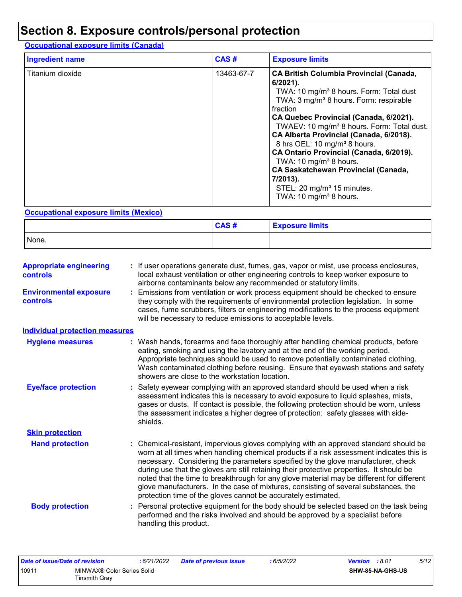# **Section 8. Exposure controls/personal protection**

### **Occupational exposure limits (Canada)**

| <b>Ingredient name</b> | CAS#       | <b>Exposure limits</b>                                                                                                                                                                                                                                                                                                                                                                                                                                                                                                                                                                                       |
|------------------------|------------|--------------------------------------------------------------------------------------------------------------------------------------------------------------------------------------------------------------------------------------------------------------------------------------------------------------------------------------------------------------------------------------------------------------------------------------------------------------------------------------------------------------------------------------------------------------------------------------------------------------|
| Titanium dioxide       | 13463-67-7 | <b>CA British Columbia Provincial (Canada,</b><br>$6/2021$ ).<br>TWA: 10 mg/m <sup>3</sup> 8 hours. Form: Total dust<br>TWA: 3 mg/m <sup>3</sup> 8 hours. Form: respirable<br>fraction<br>CA Quebec Provincial (Canada, 6/2021).<br>TWAEV: 10 mg/m <sup>3</sup> 8 hours. Form: Total dust.<br>CA Alberta Provincial (Canada, 6/2018).<br>8 hrs OEL: 10 mg/m <sup>3</sup> 8 hours.<br>CA Ontario Provincial (Canada, 6/2019).<br>TWA: 10 mg/m <sup>3</sup> 8 hours.<br><b>CA Saskatchewan Provincial (Canada,</b><br>7/2013).<br>STEL: 20 mg/m <sup>3</sup> 15 minutes.<br>TWA: 10 mg/m <sup>3</sup> 8 hours. |

### **Occupational exposure limits (Mexico)**

|       | CAS# | <b>Exposure limits</b> |
|-------|------|------------------------|
| None. |      |                        |

| <b>Appropriate engineering</b><br><b>controls</b> | : If user operations generate dust, fumes, gas, vapor or mist, use process enclosures,<br>local exhaust ventilation or other engineering controls to keep worker exposure to<br>airborne contaminants below any recommended or statutory limits.                                                                                                                                                                                                                                                                                                                                                                     |
|---------------------------------------------------|----------------------------------------------------------------------------------------------------------------------------------------------------------------------------------------------------------------------------------------------------------------------------------------------------------------------------------------------------------------------------------------------------------------------------------------------------------------------------------------------------------------------------------------------------------------------------------------------------------------------|
| <b>Environmental exposure</b><br><b>controls</b>  | Emissions from ventilation or work process equipment should be checked to ensure<br>they comply with the requirements of environmental protection legislation. In some<br>cases, fume scrubbers, filters or engineering modifications to the process equipment<br>will be necessary to reduce emissions to acceptable levels.                                                                                                                                                                                                                                                                                        |
| <b>Individual protection measures</b>             |                                                                                                                                                                                                                                                                                                                                                                                                                                                                                                                                                                                                                      |
| <b>Hygiene measures</b>                           | : Wash hands, forearms and face thoroughly after handling chemical products, before<br>eating, smoking and using the lavatory and at the end of the working period.<br>Appropriate techniques should be used to remove potentially contaminated clothing.<br>Wash contaminated clothing before reusing. Ensure that eyewash stations and safety<br>showers are close to the workstation location.                                                                                                                                                                                                                    |
| <b>Eye/face protection</b>                        | Safety eyewear complying with an approved standard should be used when a risk<br>assessment indicates this is necessary to avoid exposure to liquid splashes, mists,<br>gases or dusts. If contact is possible, the following protection should be worn, unless<br>the assessment indicates a higher degree of protection: safety glasses with side-<br>shields.                                                                                                                                                                                                                                                     |
| <b>Skin protection</b>                            |                                                                                                                                                                                                                                                                                                                                                                                                                                                                                                                                                                                                                      |
| <b>Hand protection</b>                            | Chemical-resistant, impervious gloves complying with an approved standard should be<br>worn at all times when handling chemical products if a risk assessment indicates this is<br>necessary. Considering the parameters specified by the glove manufacturer, check<br>during use that the gloves are still retaining their protective properties. It should be<br>noted that the time to breakthrough for any glove material may be different for different<br>glove manufacturers. In the case of mixtures, consisting of several substances, the<br>protection time of the gloves cannot be accurately estimated. |
| <b>Body protection</b>                            | Personal protective equipment for the body should be selected based on the task being<br>performed and the risks involved and should be approved by a specialist before<br>handling this product.                                                                                                                                                                                                                                                                                                                                                                                                                    |

| Date of issue/Date of revision      |               | : 6/21/2022 | <b>Date of previous issue</b> | : 6/5/2022              | <b>Version</b> : 8.01 | 5/12 |
|-------------------------------------|---------------|-------------|-------------------------------|-------------------------|-----------------------|------|
| 10911<br>MINWAX® Color Series Solid |               |             |                               | <b>SHW-85-NA-GHS-US</b> |                       |      |
|                                     | Tinsmith Grav |             |                               |                         |                       |      |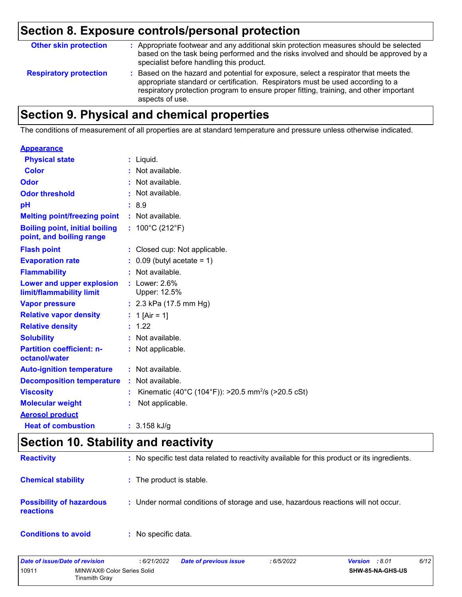# **Section 8. Exposure controls/personal protection**

| <b>Other skin protection</b>  | : Appropriate footwear and any additional skin protection measures should be selected<br>based on the task being performed and the risks involved and should be approved by a<br>specialist before handling this product.                                                           |
|-------------------------------|-------------------------------------------------------------------------------------------------------------------------------------------------------------------------------------------------------------------------------------------------------------------------------------|
| <b>Respiratory protection</b> | : Based on the hazard and potential for exposure, select a respirator that meets the<br>appropriate standard or certification. Respirators must be used according to a<br>respiratory protection program to ensure proper fitting, training, and other important<br>aspects of use. |

# **Section 9. Physical and chemical properties**

The conditions of measurement of all properties are at standard temperature and pressure unless otherwise indicated.

#### **Appearance**

| <b>Physical state</b>                                             | $:$ Liquid.                                                    |
|-------------------------------------------------------------------|----------------------------------------------------------------|
| <b>Color</b>                                                      | Not available.                                                 |
| <b>Odor</b>                                                       | Not available.                                                 |
| <b>Odor threshold</b>                                             | : Not available.                                               |
| рH                                                                | :8.9                                                           |
| <b>Melting point/freezing point</b>                               | : Not available.                                               |
| <b>Boiling point, initial boiling</b><br>point, and boiling range | : $100^{\circ}$ C (212 $^{\circ}$ F)                           |
| <b>Flash point</b>                                                | : Closed cup: Not applicable.                                  |
| <b>Evaporation rate</b>                                           | $: 0.09$ (butyl acetate = 1)                                   |
| <b>Flammability</b>                                               | : Not available.                                               |
| Lower and upper explosion<br>limit/flammability limit             | $:$ Lower: 2.6%<br>Upper: 12.5%                                |
| <b>Vapor pressure</b>                                             | : $2.3$ kPa (17.5 mm Hg)                                       |
| <b>Relative vapor density</b>                                     | : 1 [Air = 1]                                                  |
| <b>Relative density</b>                                           | : 1.22                                                         |
| <b>Solubility</b>                                                 | : Not available.                                               |
| <b>Partition coefficient: n-</b><br>octanol/water                 | : Not applicable.                                              |
| <b>Auto-ignition temperature</b>                                  | : Not available.                                               |
| <b>Decomposition temperature</b>                                  | : Not available.                                               |
| <b>Viscosity</b>                                                  | Kinematic (40°C (104°F)): >20.5 mm <sup>2</sup> /s (>20.5 cSt) |
| <b>Molecular weight</b>                                           | Not applicable.                                                |
| <b>Aerosol product</b>                                            |                                                                |
| <b>Heat of combustion</b>                                         | $: 3.158$ kJ/g                                                 |

# **Section 10. Stability and reactivity**

| <b>Reactivity</b>                                   | : No specific test data related to reactivity available for this product or its ingredients. |
|-----------------------------------------------------|----------------------------------------------------------------------------------------------|
| <b>Chemical stability</b>                           | : The product is stable.                                                                     |
| <b>Possibility of hazardous</b><br><b>reactions</b> | : Under normal conditions of storage and use, hazardous reactions will not occur.            |
| <b>Conditions to avoid</b>                          | : No specific data.                                                                          |

| Date of issue/Date of revision |                                             | : 6/21/2022 | <b>Date of previous issue</b> | 6/5/2022 | <b>Version</b> : 8.01 |                  | 6/12 |
|--------------------------------|---------------------------------------------|-------------|-------------------------------|----------|-----------------------|------------------|------|
| 10911                          | MINWAX® Color Series Solid<br>Tinsmith Gray |             |                               |          |                       | SHW-85-NA-GHS-US |      |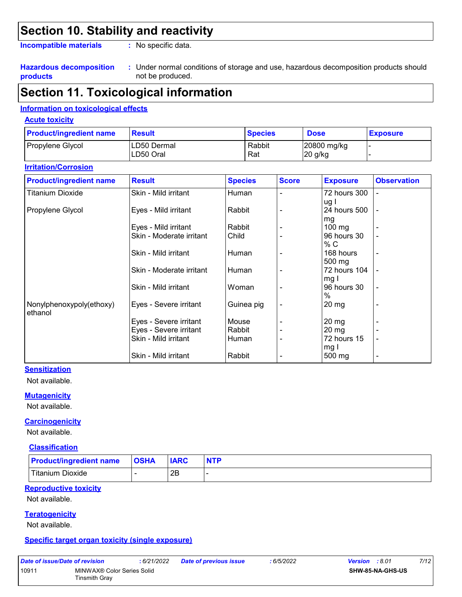## **Section 10. Stability and reactivity**

**Incompatible materials :**

: No specific data.

#### **Hazardous decomposition products**

Under normal conditions of storage and use, hazardous decomposition products should **:** not be produced.

### **Section 11. Toxicological information**

### **Information on toxicological effects**

#### **Acute toxicity**

| <b>Product/ingredient name</b> | <b>Result</b> | <b>Species</b> | <b>Dose</b> | <b>Exposure</b> |
|--------------------------------|---------------|----------------|-------------|-----------------|
| Propylene Glycol               | ILD50 Dermal  | Rabbit         | 20800 mg/kg |                 |
|                                | LD50 Oral     | Rat            | 20 g/kg     |                 |

### **Irritation/Corrosion**

| <b>Product/ingredient name</b> | <b>Result</b>            | <b>Species</b> | <b>Score</b> | <b>Exposure</b>    | <b>Observation</b>       |
|--------------------------------|--------------------------|----------------|--------------|--------------------|--------------------------|
| <b>Titanium Dioxide</b>        | Skin - Mild irritant     | Human          |              | 72 hours 300       | -                        |
|                                |                          |                |              | ug l               |                          |
| Propylene Glycol               | Eyes - Mild irritant     | Rabbit         |              | 24 hours 500       | $\overline{a}$           |
|                                |                          |                |              | mg                 |                          |
|                                | Eyes - Mild irritant     | Rabbit         |              | $100 \text{ mg}$   |                          |
|                                | Skin - Moderate irritant | Child          |              | 96 hours 30        |                          |
|                                |                          |                |              | % C                |                          |
|                                | Skin - Mild irritant     | Human          |              | 168 hours          | $\overline{\phantom{a}}$ |
|                                |                          |                |              | 500 mg             |                          |
|                                | Skin - Moderate irritant | Human          |              | 72 hours 104       |                          |
|                                |                          |                |              | mg I               |                          |
|                                | Skin - Mild irritant     | Woman          |              | 96 hours 30        | $\overline{\phantom{a}}$ |
|                                |                          |                |              | $\%$               |                          |
| Nonylphenoxypoly(ethoxy)       | Eyes - Severe irritant   | Guinea pig     |              | $20 \,\mathrm{mg}$ |                          |
| ethanol                        |                          |                |              |                    |                          |
|                                | Eyes - Severe irritant   | Mouse          |              | $20 \,\mathrm{mg}$ |                          |
|                                | Eyes - Severe irritant   | Rabbit         |              | $20 \, mg$         |                          |
|                                | Skin - Mild irritant     | Human          |              | 72 hours 15        | ٠                        |
|                                |                          |                |              | mg I               |                          |
|                                | Skin - Mild irritant     | Rabbit         |              | 500 mg             | $\overline{\phantom{a}}$ |

### **Sensitization**

Not available.

#### **Mutagenicity**

Not available.

#### **Carcinogenicity**

Not available.

#### **Classification**

| <b>Product/ingredient name</b> | <b>OSHA</b> | <b>IARC</b> | <b>NTP</b> |
|--------------------------------|-------------|-------------|------------|
| Titanium Dioxide               |             | םר<br>∠∟    |            |

#### **Reproductive toxicity**

Not available.

#### **Teratogenicity**

Not available.

#### **Specific target organ toxicity (single exposure)**

| Date of issue/Date of revision |                                             | : 6/21/2022 | <b>Date of previous issue</b> | : 6/5/2022 | <b>Version</b> : 8.01 |                         | 7/12 |
|--------------------------------|---------------------------------------------|-------------|-------------------------------|------------|-----------------------|-------------------------|------|
| 10911                          | MINWAX® Color Series Solid<br>Tinsmith Gray |             |                               |            |                       | <b>SHW-85-NA-GHS-US</b> |      |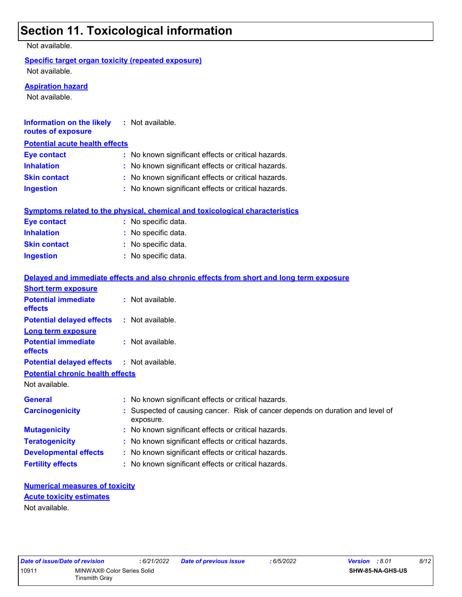# **Section 11. Toxicological information**

Not available.

### **Specific target organ toxicity (repeated exposure)**

Not available.

#### **Aspiration hazard**

Not available.

| <b>Information on the likely</b><br>routes of exposure | : Not available.                                                                    |
|--------------------------------------------------------|-------------------------------------------------------------------------------------|
| <b>Potential acute health effects</b>                  |                                                                                     |
| <b>Eye contact</b>                                     | : No known significant effects or critical hazards.                                 |
| <b>Inhalation</b>                                      | : No known significant effects or critical hazards.                                 |
| <b>Skin contact</b>                                    | : No known significant effects or critical hazards.                                 |
| <b>Ingestion</b>                                       | : No known significant effects or critical hazards.                                 |
|                                                        | <b>Symptoms related to the physical, chemical and toxicological characteristics</b> |

| <b>Eye contact</b>  | : No specific data. |
|---------------------|---------------------|
| <b>Inhalation</b>   | : No specific data. |
| <b>Skin contact</b> | : No specific data. |
| <b>Ingestion</b>    | : No specific data. |

|                                                   | Delayed and immediate effects and also chronic effects from short and long term exposure    |
|---------------------------------------------------|---------------------------------------------------------------------------------------------|
| <b>Short term exposure</b>                        |                                                                                             |
| <b>Potential immediate</b><br><b>effects</b>      | : Not available.                                                                            |
| <b>Potential delayed effects</b>                  | : Not available.                                                                            |
| <b>Long term exposure</b>                         |                                                                                             |
| <b>Potential immediate</b><br><b>effects</b>      | $\therefore$ Not available.                                                                 |
| <b>Potential delayed effects : Not available.</b> |                                                                                             |
| <b>Potential chronic health effects</b>           |                                                                                             |
| Not available.                                    |                                                                                             |
| <b>General</b>                                    | : No known significant effects or critical hazards.                                         |
| <b>Carcinogenicity</b>                            | : Suspected of causing cancer. Risk of cancer depends on duration and level of<br>exposure. |
| <b>Mutagenicity</b>                               | : No known significant effects or critical hazards.                                         |
| <b>Teratogenicity</b>                             | : No known significant effects or critical hazards.                                         |
| <b>Developmental effects</b>                      | : No known significant effects or critical hazards.                                         |
| <b>Fertility effects</b>                          | : No known significant effects or critical hazards.                                         |

### **Numerical measures of toxicity** Not available. **Acute toxicity estimates**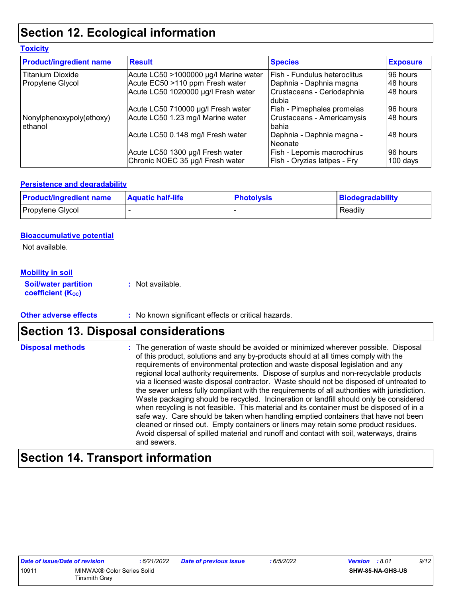# **Section 12. Ecological information**

| <b>Product/ingredient name</b>      | <b>Result</b>                         | <b>Species</b>                        | <b>Exposure</b> |
|-------------------------------------|---------------------------------------|---------------------------------------|-----------------|
| <b>Titanium Dioxide</b>             | Acute LC50 >1000000 µg/l Marine water | l Fish - Fundulus heteroclitus        | 96 hours        |
| Propylene Glycol                    | Acute EC50 >110 ppm Fresh water       | Daphnia - Daphnia magna               | 48 hours        |
|                                     | Acute LC50 1020000 µg/l Fresh water   | Crustaceans - Ceriodaphnia<br>l dubia | 48 hours        |
|                                     | Acute LC50 710000 µg/l Fresh water    | Fish - Pimephales promelas            | 96 hours        |
| Nonylphenoxypoly(ethoxy)<br>ethanol | Acute LC50 1.23 mg/l Marine water     | Crustaceans - Americamysis<br>l bahia | 48 hours        |
|                                     | Acute LC50 0.148 mg/l Fresh water     | Daphnia - Daphnia magna -<br>Neonate  | 48 hours        |
|                                     | Acute LC50 1300 µg/l Fresh water      | Fish - Lepomis macrochirus            | 96 hours        |
|                                     | Chronic NOEC 35 µg/l Fresh water      | Fish - Oryzias latipes - Fry          | $100$ days      |

### **Persistence and degradability**

| <b>Product/ingredient name</b> | <b>Aquatic half-life</b> | <b>Photolysis</b> | Biodegradability |
|--------------------------------|--------------------------|-------------------|------------------|
| Propylene Glycol               |                          |                   | Readily          |

### **Bioaccumulative potential**

Not available.

**Toxicity**

### **Mobility in soil**

**Soil/water partition coefficient (KOC) :** Not available.

**Other adverse effects** : No known significant effects or critical hazards.

### **Section 13. Disposal considerations**

The generation of waste should be avoided or minimized wherever possible. Disposal of this product, solutions and any by-products should at all times comply with the requirements of environmental protection and waste disposal legislation and any regional local authority requirements. Dispose of surplus and non-recyclable products via a licensed waste disposal contractor. Waste should not be disposed of untreated to the sewer unless fully compliant with the requirements of all authorities with jurisdiction. Waste packaging should be recycled. Incineration or landfill should only be considered when recycling is not feasible. This material and its container must be disposed of in a safe way. Care should be taken when handling emptied containers that have not been cleaned or rinsed out. Empty containers or liners may retain some product residues. Avoid dispersal of spilled material and runoff and contact with soil, waterways, drains and sewers. **Disposal methods :**

### **Section 14. Transport information**

|       | Date of issue/Date of revision                     | :6/21/2022 | <b>Date of previous issue</b> | : 6/5/2022 | <b>Version</b> : 8.01   | 9/12 |
|-------|----------------------------------------------------|------------|-------------------------------|------------|-------------------------|------|
| 10911 | MINWAX® Color Series Solid<br><b>Tinsmith Gray</b> |            |                               |            | <b>SHW-85-NA-GHS-US</b> |      |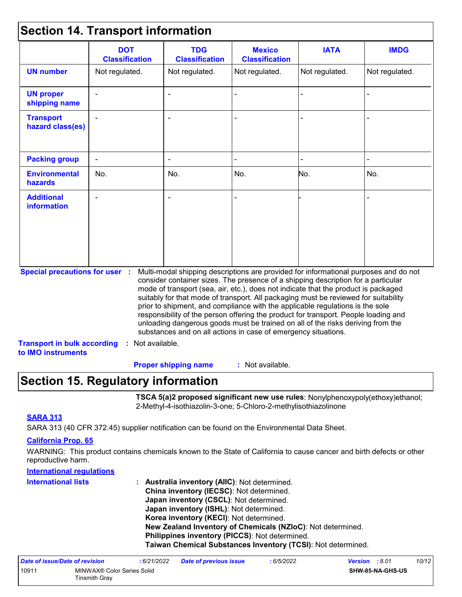### **Section 14. Transport information**

| <b>DOT</b><br><b>Classification</b> | <b>TDG</b><br><b>Classification</b>   | <b>Mexico</b><br><b>Classification</b> | <b>IATA</b>    | <b>IMDG</b>                                                                                                                                                                                                                                                                                                                                                                                                                                                                                                                                                                                                                                                                         |
|-------------------------------------|---------------------------------------|----------------------------------------|----------------|-------------------------------------------------------------------------------------------------------------------------------------------------------------------------------------------------------------------------------------------------------------------------------------------------------------------------------------------------------------------------------------------------------------------------------------------------------------------------------------------------------------------------------------------------------------------------------------------------------------------------------------------------------------------------------------|
| Not regulated.                      | Not regulated.                        | Not regulated.                         | Not regulated. | Not regulated.                                                                                                                                                                                                                                                                                                                                                                                                                                                                                                                                                                                                                                                                      |
|                                     |                                       |                                        |                |                                                                                                                                                                                                                                                                                                                                                                                                                                                                                                                                                                                                                                                                                     |
|                                     |                                       |                                        |                |                                                                                                                                                                                                                                                                                                                                                                                                                                                                                                                                                                                                                                                                                     |
|                                     |                                       |                                        |                |                                                                                                                                                                                                                                                                                                                                                                                                                                                                                                                                                                                                                                                                                     |
| No.                                 | No.                                   | No.                                    | No.            | No.                                                                                                                                                                                                                                                                                                                                                                                                                                                                                                                                                                                                                                                                                 |
|                                     |                                       |                                        |                |                                                                                                                                                                                                                                                                                                                                                                                                                                                                                                                                                                                                                                                                                     |
|                                     |                                       |                                        |                |                                                                                                                                                                                                                                                                                                                                                                                                                                                                                                                                                                                                                                                                                     |
|                                     | <b>Special precautions for user :</b> |                                        |                | Multi-modal shipping descriptions are provided for informational purposes and do not<br>consider container sizes. The presence of a shipping description for a particular<br>mode of transport (sea, air, etc.), does not indicate that the product is packaged<br>suitably for that mode of transport. All packaging must be reviewed for suitability<br>prior to shipment, and compliance with the applicable regulations is the sole<br>responsibility of the person offering the product for transport. People loading and<br>unloading dangerous goods must be trained on all of the risks deriving from the<br>substances and on all actions in case of emergency situations. |

: Not available. **Proper shipping name :**

### **Section 15. Regulatory information**

**TSCA 5(a)2 proposed significant new use rules**: Nonylphenoxypoly(ethoxy)ethanol; 2-Methyl-4-isothiazolin-3-one; 5-Chloro-2-methylisothiazolinone

### **SARA 313**

SARA 313 (40 CFR 372.45) supplier notification can be found on the Environmental Data Sheet.

#### **California Prop. 65**

WARNING: This product contains chemicals known to the State of California to cause cancer and birth defects or other reproductive harm.

### **International regulations**

| <b>International lists</b> | : Australia inventory (AIIC): Not determined.                |
|----------------------------|--------------------------------------------------------------|
|                            | China inventory (IECSC): Not determined.                     |
|                            | Japan inventory (CSCL): Not determined.                      |
|                            | Japan inventory (ISHL): Not determined.                      |
|                            | Korea inventory (KECI): Not determined.                      |
|                            | New Zealand Inventory of Chemicals (NZIoC): Not determined.  |
|                            | Philippines inventory (PICCS): Not determined.               |
|                            | Taiwan Chemical Substances Inventory (TCSI): Not determined. |

| Date of issue/Date of revision |                                             | : 6/21/2022 | <b>Date of previous issue</b> | .6/5/2022 | <b>Version</b> : 8.01 |                         | 10/12 |
|--------------------------------|---------------------------------------------|-------------|-------------------------------|-----------|-----------------------|-------------------------|-------|
| 10911                          | MINWAX® Color Series Solid<br>Tinsmith Grav |             |                               |           |                       | <b>SHW-85-NA-GHS-US</b> |       |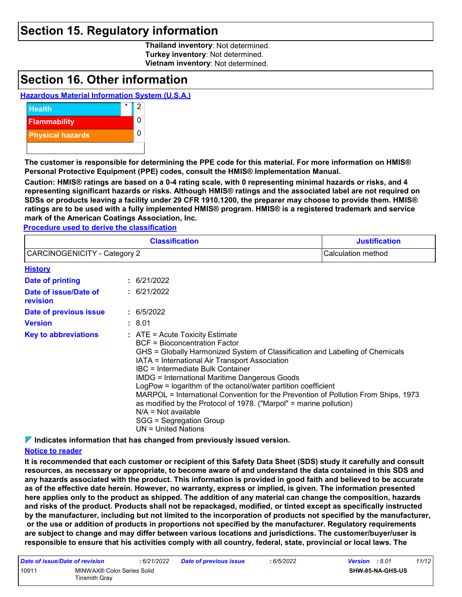### **Section 15. Regulatory information**

**Thailand inventory**: Not determined. **Turkey inventory**: Not determined. **Vietnam inventory**: Not determined.

### **Section 16. Other information**

### **Hazardous Material Information System (U.S.A.)**



**The customer is responsible for determining the PPE code for this material. For more information on HMIS® Personal Protective Equipment (PPE) codes, consult the HMIS® Implementation Manual.**

**Caution: HMIS® ratings are based on a 0-4 rating scale, with 0 representing minimal hazards or risks, and 4 representing significant hazards or risks. Although HMIS® ratings and the associated label are not required on SDSs or products leaving a facility under 29 CFR 1910.1200, the preparer may choose to provide them. HMIS® ratings are to be used with a fully implemented HMIS® program. HMIS® is a registered trademark and service mark of the American Coatings Association, Inc.**

**Procedure used to derive the classification**

|                                     | <b>Classification</b>                                                                                                                                                                                                                                                                                                                                                                                                                                                                                                                                                                                             | <b>Justification</b> |
|-------------------------------------|-------------------------------------------------------------------------------------------------------------------------------------------------------------------------------------------------------------------------------------------------------------------------------------------------------------------------------------------------------------------------------------------------------------------------------------------------------------------------------------------------------------------------------------------------------------------------------------------------------------------|----------------------|
| <b>CARCINOGENICITY - Category 2</b> | Calculation method                                                                                                                                                                                                                                                                                                                                                                                                                                                                                                                                                                                                |                      |
| <b>History</b>                      |                                                                                                                                                                                                                                                                                                                                                                                                                                                                                                                                                                                                                   |                      |
| Date of printing                    | : 6/21/2022                                                                                                                                                                                                                                                                                                                                                                                                                                                                                                                                                                                                       |                      |
| Date of issue/Date of<br>revision   | : 6/21/2022                                                                                                                                                                                                                                                                                                                                                                                                                                                                                                                                                                                                       |                      |
| Date of previous issue              | : 6/5/2022                                                                                                                                                                                                                                                                                                                                                                                                                                                                                                                                                                                                        |                      |
| <b>Version</b>                      | : 8.01                                                                                                                                                                                                                                                                                                                                                                                                                                                                                                                                                                                                            |                      |
| <b>Key to abbreviations</b>         | $:$ ATE = Acute Toxicity Estimate<br><b>BCF</b> = Bioconcentration Factor<br>GHS = Globally Harmonized System of Classification and Labelling of Chemicals<br>IATA = International Air Transport Association<br>IBC = Intermediate Bulk Container<br><b>IMDG = International Maritime Dangerous Goods</b><br>LogPow = logarithm of the octanol/water partition coefficient<br>MARPOL = International Convention for the Prevention of Pollution From Ships, 1973<br>as modified by the Protocol of 1978. ("Marpol" = marine pollution)<br>$N/A = Not available$<br>SGG = Segregation Group<br>UN = United Nations |                      |

**Indicates information that has changed from previously issued version.**

### **Notice to reader**

**It is recommended that each customer or recipient of this Safety Data Sheet (SDS) study it carefully and consult resources, as necessary or appropriate, to become aware of and understand the data contained in this SDS and any hazards associated with the product. This information is provided in good faith and believed to be accurate as of the effective date herein. However, no warranty, express or implied, is given. The information presented here applies only to the product as shipped. The addition of any material can change the composition, hazards and risks of the product. Products shall not be repackaged, modified, or tinted except as specifically instructed by the manufacturer, including but not limited to the incorporation of products not specified by the manufacturer, or the use or addition of products in proportions not specified by the manufacturer. Regulatory requirements are subject to change and may differ between various locations and jurisdictions. The customer/buyer/user is responsible to ensure that his activities comply with all country, federal, state, provincial or local laws. The** 

| Date of issue/Date of revision |                                             | : 6/21/2022 | <b>Date of previous issue</b> | : 6/5/2022 | 11/12<br><b>Version</b> : 8.01 |
|--------------------------------|---------------------------------------------|-------------|-------------------------------|------------|--------------------------------|
| 10911                          | MINWAX® Color Series Solid<br>Tinsmith Grav |             |                               |            | <b>SHW-85-NA-GHS-US</b>        |